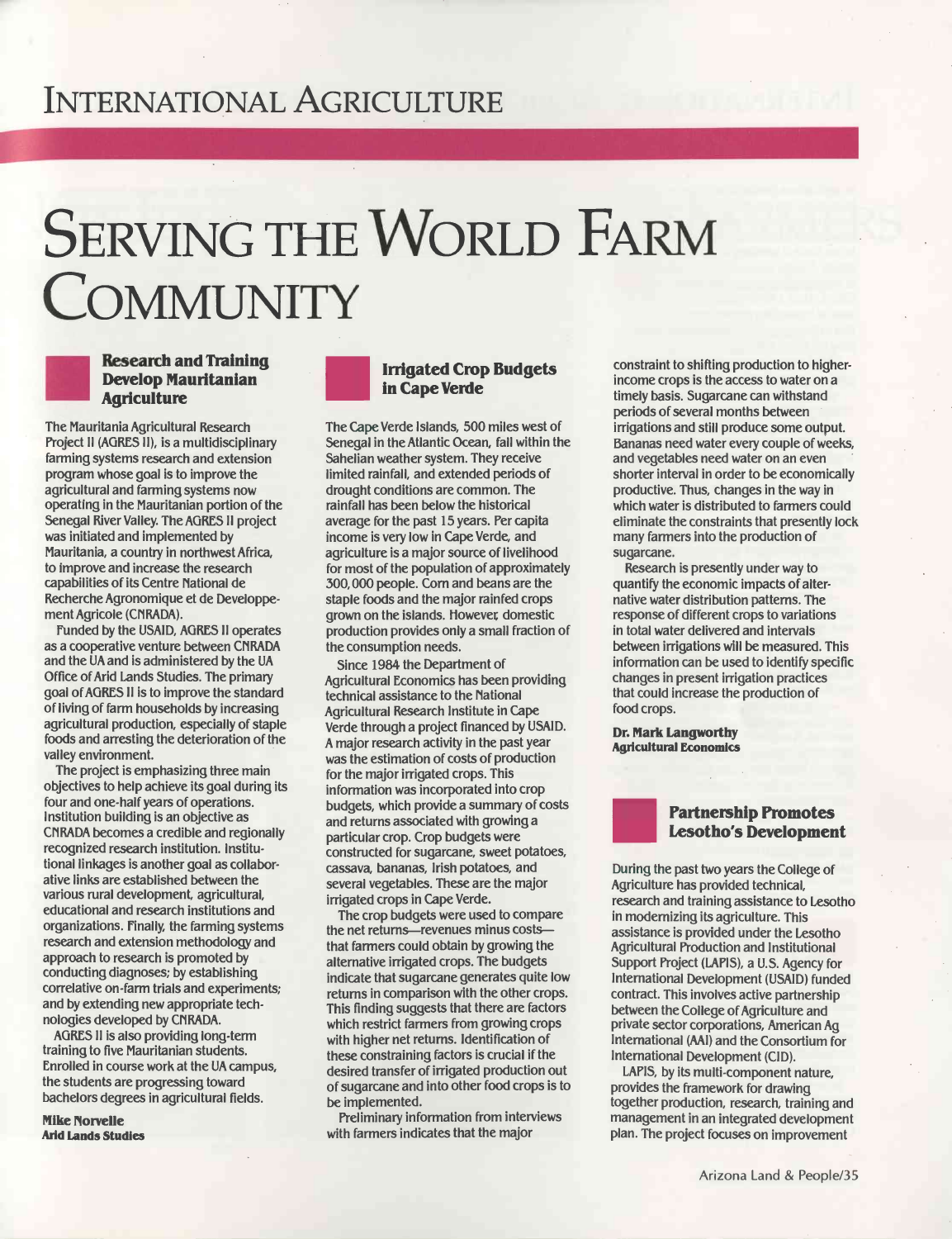## INTERNATIONAL AGRICULTURE

# SERVING THE WORLD FARM **COMMUNITY**

#### Research and Training Develop Mauritanian **Agriculture**

L<mark>ish</mark> Manazarta

The Mauritania Agricultural Research Project II (AGRES I1), is a multidisciplinary farming systems research and extension program whose goal is to improve the agricultural and farming systems now operating in the Mauritanian portion of the Senegal River Valley. The ACRES lI project was initiated and implemented by Mauritania, a country in northwest Africa, to improve and increase the research capabilities of its Centre National de Recherche Agronomique et de Developpement Agricole (CNRADA).

Funded by the USAID, AGRES II operates as a cooperative venture between CNRADA and the UA and is administered by the UA Office of Arid Lands Studies. The primary goal of AGRES I1 is to improve the standard of living of farm households by increasing agricultural production, especially of staple foods and arresting the deterioration of the valley environment.

The project is emphasizing three main objectives to help achieve its goal during its four and one -half years of operations. Institution building is an objective as CNRADA becomes a credible and regionally recognized research institution. Institutional linkages is another goal as collaborative links are established between the various rural development, agricultural, educational and research institutions and organizations. Finally, the farming systems research and extension methodology and approach to research is promoted by conducting diagnoses; by establishing correlative on -farm trials and experiments; and by extending new appropriate technologies developed by CNRADA.

ACRES II is also providing long -term training to five Mauritanian students. Enrolled in course work at the UA campus, the students are progressing toward bachelors degrees in agricultural fields.

**Mike Norvelle** Arid Lands Studies

#### Irrigated Crop Budgets in Cape Verde

The Cape Verde Islands, 500 miles west of Senegal in the Atlantic Ocean, fall within the Sahelian weather system. They receive limited rainfall, and extended periods of drought conditions are common. The rainfall has been below the historical average for the past 15 years. Per capita income is very low in Cape Verde, and agriculture is a major source of livelihood for most of the population of approximately 300,000 people. Corn and beans are the staple foods and the major rainfed crops grown on the islands. However domestic production provides only a small fraction of the consumption needs.

Since 1984 the Department of Agricultural Economics has been providing technical assistance to the National Agricultural Research Institute in Cape Verde through a project financed by USAID. A major research activity in the past year was the estimation of costs of production for the major irrigated crops. This information was incorporated into crop budgets, which provide a summary of costs and returns associated with growing a particular crop. Crop budgets were constructed for sugarcane, sweet potatoes, cassava, bananas, Irish potatoes, and several vegetables. These are the major irrigated crops in Cape Verde.

The crop budgets were used to compare the net returns-revenues minus coststhat farmers could obtain by growing the alternative irrigated crops. The budgets indicate that sugarcane generates quite low returns in comparison with the other crops. This finding suggests that there are factors which restrict farmers from growing crops with higher net returns. Identification of these constraining factors is crucial if the desired transfer of irrigated production out of sugarcane and into other food crops is to be implemented.

Preliminary information from interviews with farmers indicates that the major

constraint to shifting production to higherincome crops is the access to water on a timely basis. Sugarcane can withstand periods of several months between irrigations and still produce some output. Bananas need water every couple of weeks, and vegetables need water on an even shorter interval in order to be economically productive. Thus, changes in the way in which water is distributed to farmers could eliminate the constraints that presently lock many farmers into the production of sugarcane.

Research is presently under way to quantify the economic impacts of alternative water distribution patterns. The response of different crops to variations in total water delivered and intervals between irrigations will be measured. This information can be used to identify specific changes in present irrigation practices that could increase the production of food crops.

Dr. Mark Langworthy Agricultural Economics



#### Partnership Promotes Lesotho's Development

During the past two years the College of Agriculture has provided technical, research and training assistance to Lesotho in modernizing its agriculture. This assistance is provided under the Lesotho Agricultural Production and Institutional Support Project (LAPIS), a U.S. Agency for International Development (USAID) funded contract. This involves active partnership between the College of Agriculture and private sector corporations, American Ag International (AAI) and the Consortium for International Development (CID).

LAPIS, by its multi-component nature, provides the framework for drawing together production, research, training and management in an integrated development plan. The project focuses on improvement